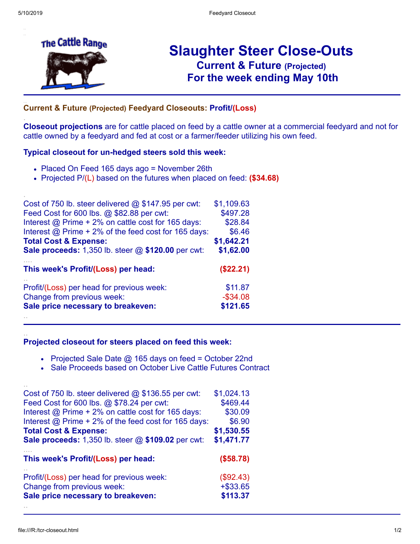.

.

..



# **Slaughter Steer Close-Outs Current & Future (Projected)** .**For the week ending May 10th**

### **Current & Future (Projected) Feedyard Closeouts: Profit/(Loss)**

**Closeout projections** are for cattle placed on feed by a cattle owner at a commercial feedyard and not for cattle owned by a feedyard and fed at cost or a farmer/feeder utilizing his own feed.

#### **Typical closeout for un-hedged steers sold this week:**

- Placed On Feed 165 days ago = November 26th
- Projected P/(L) based on the futures when placed on feed: **(\$34.68)**

| \$1,109.63  |
|-------------|
| \$497.28    |
| \$28.84     |
| \$6.46      |
| \$1,642.21  |
| \$1,62.00   |
| (\$22.21)   |
| \$11.87     |
| $-$ \$34.08 |
|             |
|             |

#### **Projected closeout for steers placed on feed this week:**

- Projected Sale Date @ 165 days on feed = October 22nd
- Sale Proceeds based on October Live Cattle Futures Contract

| Cost of 750 lb. steer delivered $@$ \$136.55 per cwt:     | \$1,024.13 |
|-----------------------------------------------------------|------------|
| Feed Cost for 600 lbs. @ \$78.24 per cwt:                 | \$469.44   |
| Interest @ Prime + 2% on cattle cost for 165 days:        | \$30.09    |
| Interest $@$ Prime + 2% of the feed cost for 165 days:    | \$6.90     |
| <b>Total Cost &amp; Expense:</b>                          | \$1,530.55 |
| <b>Sale proceeds:</b> 1,350 lb. steer @ \$109.02 per cwt: | \$1,471.77 |
|                                                           |            |
| This week's Profit/(Loss) per head:                       | (\$58.78)  |
| Profit/(Loss) per head for previous week:                 | (\$92.43)  |
| Change from previous week:                                | $+ $33.65$ |
| Sale price necessary to breakeven:                        | \$113.37   |